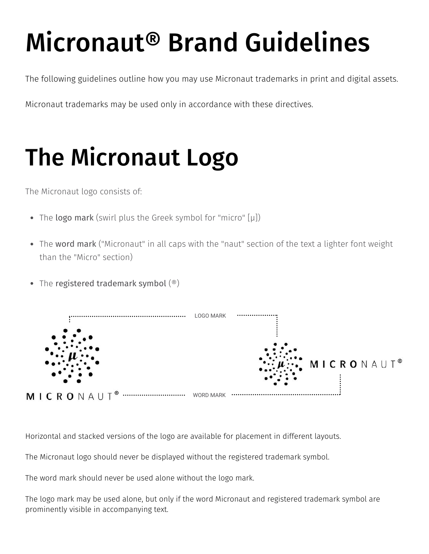# Micronaut® Brand Guidelines

The following guidelines outline how you may use Micronaut trademarks in print and digital assets.

Micronaut trademarks may be used only in accordance with these directives.

### The Micronaut Logo

The Micronaut logo consists of:

- The logo mark (swirl plus the Greek symbol for "micro" [µ])
- The word mark ("Micronaut" in all caps with the "naut" section of the text a lighter font weight than the "Micro" section)
- The registered trademark symbol  $(\textcircled{\small{}})$



Horizontal and stacked versions of the logo are available for placement in different layouts.

The Micronaut logo should never be displayed without the registered trademark symbol.

The word mark should never be used alone without the logo mark.

The logo mark may be used alone, but only if the word Micronaut and registered trademark symbol are prominently visible in accompanying text.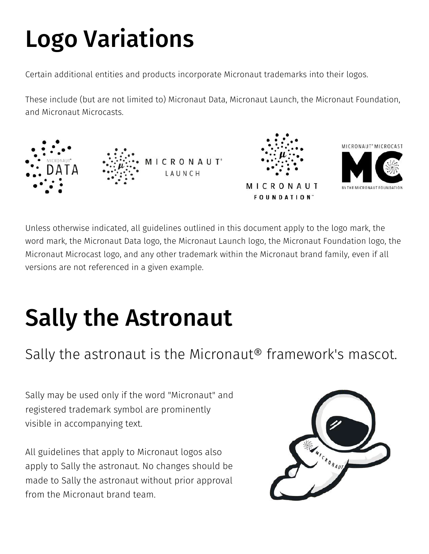# Logo Variations

Certain additional entities and products incorporate Micronaut trademarks into their logos.

These include (but are not limited to) Micronaut Data, Micronaut Launch, the Micronaut Foundation, and Micronaut Microcasts.



Unless otherwise indicated, all guidelines outlined in this document apply to the logo mark, the word mark, the Micronaut Data logo, the Micronaut Launch logo, the Micronaut Foundation logo, the Micronaut Microcast logo, and any other trademark within the Micronaut brand family, even if all versions are not referenced in a given example.

## Sally the Astronaut

#### Sally the astronaut is the Micronaut® framework's mascot.

Sally may be used only if the word "Micronaut" and registered trademark symbol are prominently visible in accompanying text.

All guidelines that apply to Micronaut logos also apply to Sally the astronaut. No changes should be made to Sally the astronaut without prior approval from the Micronaut brand team.

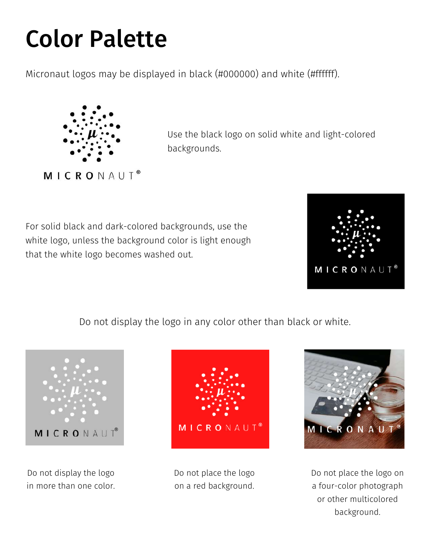#### Color Palette

Micronaut logos may be displayed in black (#000000) and white (#ffffff).



Use the black logo on solid white and light-colored backgrounds.

For solid black and dark-colored backgrounds, use the white logo, unless the background color is light enough that the white logo becomes washed out.



Do not display the logo in any color other than black or white.



Do not display the logo in more than one color.



Do not place the logo on a red background.



Do not place the logo on a four-color photograph or other multicolored background.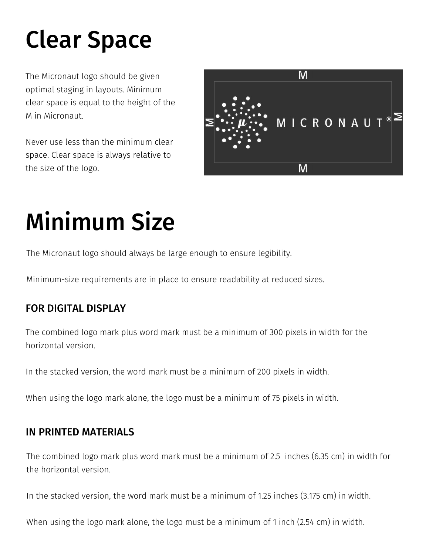### Clear Space

The Micronaut logo should be given optimal staging in layouts. Minimum clear space is equal to the height of the M in Micronaut.

Never use less than the minimum clear space. Clear space is always relative to the size of the logo.



### Minimum Size

The Micronaut logo should always be large enough to ensure legibility.

Minimum-size requirements are in place to ensure readability at reduced sizes.

#### FOR DIGITAL DISPLAY

The combined logo mark plus word mark must be a minimum of 300 pixels in width for the horizontal version.

In the stacked version, the word mark must be a minimum of 200 pixels in width.

When using the logo mark alone, the logo must be a minimum of 75 pixels in width.

#### IN PRINTED MATERIALS

The combined logo mark plus word mark must be a minimum of 2.5 inches (6.35 cm) in width for the horizontal version.

In the stacked version, the word mark must be a minimum of 1.25 inches (3.175 cm) in width.

When using the logo mark alone, the logo must be a minimum of 1 inch (2.54 cm) in width.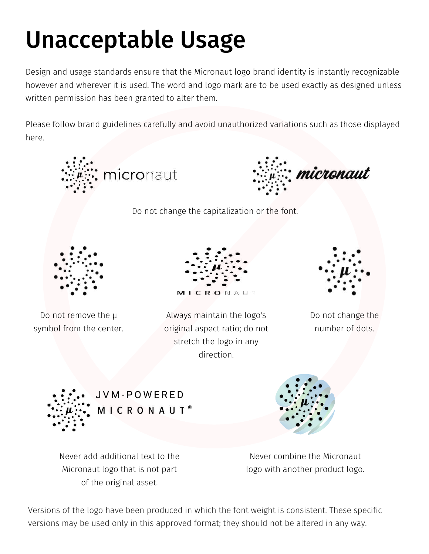### Unacceptable Usage

Design and usage standards ensure that the Micronaut logo brand identity is instantly recognizable however and wherever it is used. The word and logo mark are to be used exactly as designed unless written permission has been granted to alter them.

Please follow brand guidelines carefully and avoid unauthorized variations such as those displayed here.







Never add additional text to the Micronaut logo that is not part of the original asset.

Versions of the logo have been produced in which the font weight is consistent. These specific versions may be used only in this approved format; they should not be altered in any way.